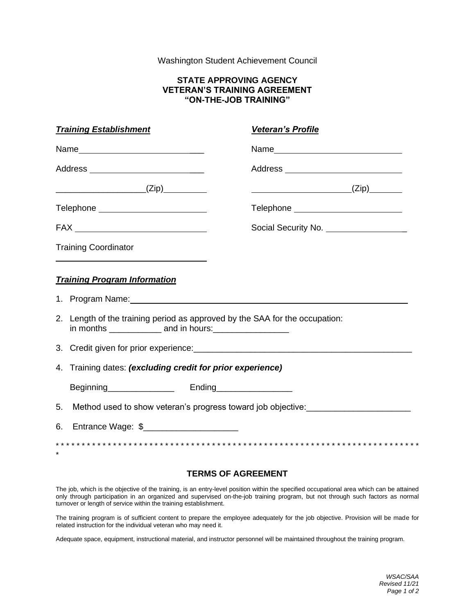# Washington Student Achievement Council

### **STATE APPROVING AGENCY VETERAN'S TRAINING AGREEMENT "ON-THE-JOB TRAINING"**

| <b>Training Establishment</b>                                               | <b>Veteran's Profile</b>                |
|-----------------------------------------------------------------------------|-----------------------------------------|
|                                                                             |                                         |
| Address _____________________________                                       | Address ______________________________  |
|                                                                             |                                         |
| Telephone New York Changes and Telephone                                    |                                         |
|                                                                             | Social Security No. ___________________ |
| <b>Training Coordinator</b>                                                 |                                         |
| <b>Training Program Information</b>                                         |                                         |
|                                                                             |                                         |
| 2. Length of the training period as approved by the SAA for the occupation: |                                         |
|                                                                             |                                         |
| 4. Training dates: (excluding credit for prior experience)                  |                                         |
|                                                                             |                                         |
| 5.                                                                          |                                         |
| Entrance Wage: \$_______________________<br>6.                              |                                         |
|                                                                             |                                         |

# **TERMS OF AGREEMENT**

The job, which is the objective of the training, is an entry-level position within the specified occupational area which can be attained only through participation in an organized and supervised on-the-job training program, but not through such factors as normal turnover or length of service within the training establishment.

The training program is of sufficient content to prepare the employee adequately for the job objective. Provision will be made for related instruction for the individual veteran who may need it.

Adequate space, equipment, instructional material, and instructor personnel will be maintained throughout the training program.